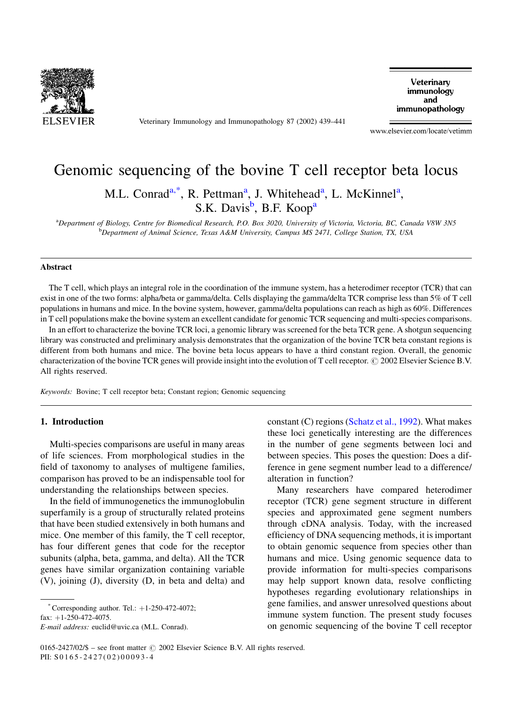

Veterinary Immunology and Immunopathology 87 (2002) 439-441

Veterinary immunology and immunopathology

www.elsevier.com/locate/vetimm

# Genomic sequencing of the bovine T cell receptor beta locus

M.L. Conrad<sup>a,\*</sup>, R. Pettman<sup>a</sup>, J. Whitehead<sup>a</sup>, L. McKinnel<sup>a</sup>,

S.K. Davis<sup>b</sup>, B.F. Koop<sup>a</sup>

<sup>a</sup>Department of Biology, Centre for Biomedical Research, P.O. Box 3020, University of Victoria, Victoria, BC, Canada V8W 3N5 <sup>b</sup>Department of Animal Science, Texas A&M University, Campus MS 2471, College Station, TX, USA

# **Abstract**

The T cell, which plays an integral role in the coordination of the immune system, has a heterodimer receptor (TCR) that can exist in one of the two forms: alpha/beta or gamma/delta. Cells displaying the gamma/delta TCR comprise less than 5% of T cell populations in humans and mice. In the bovine system, however, gamma/delta populations can reach as high as 60%. Differences in T cell populations make the bovine system an excellent candidate for genomic TCR sequencing and multi-species comparisons.

In an effort to characterize the bovine TCR loci, a genomic library was screened for the beta TCR gene. A shotgun sequencing library was constructed and preliminary analysis demonstrates that the organization of the bovine TCR beta constant regions is different from both humans and mice. The bovine beta locus appears to have a third constant region. Overall, the genomic characterization of the bovine TCR genes will provide insight into the evolution of T cell receptor. © 2002 Elsevier Science B.V. All rights reserved.

Keywords: Bovine; T cell receptor beta; Constant region; Genomic sequencing

## 1. Introduction

Multi-species comparisons are useful in many areas of life sciences. From morphological studies in the field of taxonomy to analyses of multigene families, comparison has proved to be an indispensable tool for understanding the relationships between species.

In the field of immunogenetics the immunoglobulin superfamily is a group of structurally related proteins that have been studied extensively in both humans and mice. One member of this family, the T cell receptor, has four different genes that code for the receptor subunits (alpha, beta, gamma, and delta). All the TCR genes have similar organization containing variable (V), joining (J), diversity (D, in beta and delta) and

Corresponding author. Tel.:  $+1-250-472-4072$ ; fax:  $+1-250-472-4075$ .

E-mail address: euclid@uvic.ca (M.L. Conrad).

constant (C) regions (Schatz et al., 1992). What makes these loci genetically interesting are the differences in the number of gene segments between loci and between species. This poses the question: Does a difference in gene segment number lead to a difference/ alteration in function?

Many researchers have compared heterodimer receptor (TCR) gene segment structure in different species and approximated gene segment numbers through cDNA analysis. Today, with the increased efficiency of DNA sequencing methods, it is important to obtain genomic sequence from species other than humans and mice. Using genomic sequence data to provide information for multi-species comparisons may help support known data, resolve conflicting hypotheses regarding evolutionary relationships in gene families, and answer unresolved questions about immune system function. The present study focuses on genomic sequencing of the bovine T cell receptor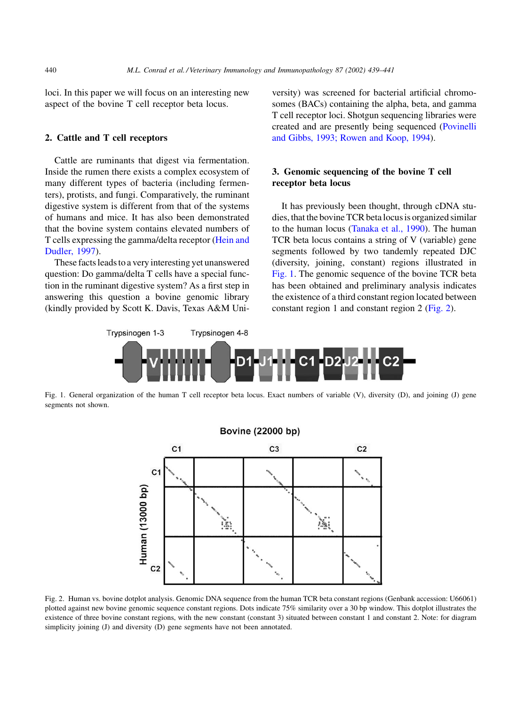loci. In this paper we will focus on an interesting new aspect of the bovine T cell receptor beta locus.

## 2. Cattle and T cell receptors

Cattle are ruminants that digest via fermentation. Inside the rumen there exists a complex ecosystem of many different types of bacteria (including fermenters), protists, and fungi. Comparatively, the ruminant digestive system is different from that of the systems of humans and mice. It has also been demonstrated that the bovine system contains elevated numbers of T cells expressing the gamma/delta receptor (Hein and Dudler, 1997).

These facts leads to a very interesting yet unanswered question: Do gamma/delta T cells have a special function in the ruminant digestive system? As a first step in answering this question a bovine genomic library (kindly provided by Scott K. Davis, Texas A&M University) was screened for bacterial artificial chromosomes (BACs) containing the alpha, beta, and gamma T cell receptor loci. Shotgun sequencing libraries were created and are presently being sequenced (Povinelli and Gibbs, 1993; Rowen and Koop, 1994).

# 3. Genomic sequencing of the bovine T cell receptor beta locus

It has previously been thought, through cDNA studies, that the bovine TCR beta locus is organized similar to the human locus (Tanaka et al., 1990). The human TCR beta locus contains a string of V (variable) gene segments followed by two tandemly repeated DJC (diversity, joining, constant) regions illustrated in Fig. 1. The genomic sequence of the bovine TCR beta has been obtained and preliminary analysis indicates the existence of a third constant region located between constant region 1 and constant region 2 ( $Fig. 2$ ).



Fig. 1. General organization of the human T cell receptor beta locus. Exact numbers of variable (V), diversity (D), and joining (J) gene segments not shown.



Fig. 2. Human vs. bovine dotplot analysis. Genomic DNA sequence from the human TCR beta constant regions (Genbank accession: U66061) plotted against new bovine genomic sequence constant regions. Dots indicate 75% similarity over a 30 bp window. This dotplot illustrates the existence of three bovine constant regions, with the new constant (constant 3) situated between constant 1 and constant 2. Note: for diagram simplicity joining (J) and diversity (D) gene segments have not been annotated.